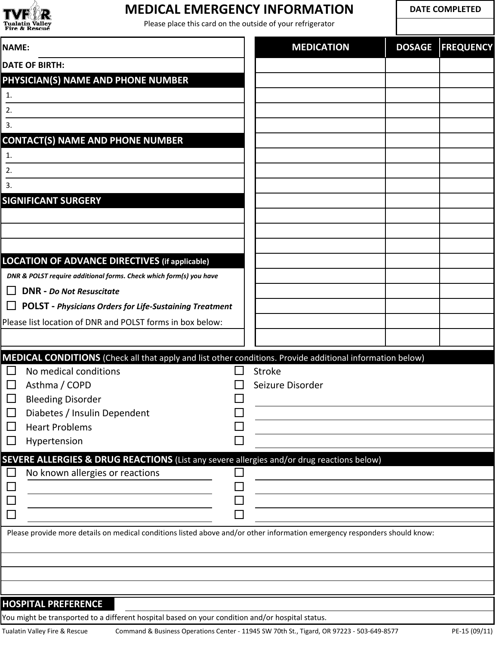

## **MEDICAL EMERGENCY INFORMATION**

Please place this card on the outside of your refrigerator

**DATE COMPLETED**

| <b>NAME:</b>                                                                                                              | <b>MEDICATION</b> | <b>DOSAGE</b> | <b>FREQUENCY</b> |
|---------------------------------------------------------------------------------------------------------------------------|-------------------|---------------|------------------|
| <b>DATE OF BIRTH:</b>                                                                                                     |                   |               |                  |
| PHYSICIAN(S) NAME AND PHONE NUMBER                                                                                        |                   |               |                  |
| 1.                                                                                                                        |                   |               |                  |
| 2.                                                                                                                        |                   |               |                  |
| 3.                                                                                                                        |                   |               |                  |
| <b>CONTACT(S) NAME AND PHONE NUMBER</b>                                                                                   |                   |               |                  |
| 1.                                                                                                                        |                   |               |                  |
| 2.                                                                                                                        |                   |               |                  |
| 3.                                                                                                                        |                   |               |                  |
| <b>SIGNIFICANT SURGERY</b>                                                                                                |                   |               |                  |
|                                                                                                                           |                   |               |                  |
|                                                                                                                           |                   |               |                  |
|                                                                                                                           |                   |               |                  |
| <b>LOCATION OF ADVANCE DIRECTIVES (if applicable)</b>                                                                     |                   |               |                  |
| DNR & POLST require additional forms. Check which form(s) you have                                                        |                   |               |                  |
| <b>DNR</b> - Do Not Resuscitate<br>$\perp$                                                                                |                   |               |                  |
| <b>POLST</b> - Physicians Orders for Life-Sustaining Treatment<br>$\Box$                                                  |                   |               |                  |
| Please list location of DNR and POLST forms in box below:                                                                 |                   |               |                  |
|                                                                                                                           |                   |               |                  |
| MEDICAL CONDITIONS (Check all that apply and list other conditions. Provide additional information below)                 |                   |               |                  |
| No medical conditions<br>$\Box$                                                                                           | <b>Stroke</b>     |               |                  |
| Asthma / COPD<br>$\Box$                                                                                                   | Seizure Disorder  |               |                  |
| $\Box$<br><b>Bleeding Disorder</b>                                                                                        |                   |               |                  |
| Diabetes / Insulin Dependent                                                                                              |                   |               |                  |
| <b>Heart Problems</b><br>$\Box$                                                                                           |                   |               |                  |
| Hypertension<br>$\Box$                                                                                                    |                   |               |                  |
| <b>SEVERE ALLERGIES &amp; DRUG REACTIONS</b> (List any severe allergies and/or drug reactions below)                      |                   |               |                  |
| No known allergies or reactions                                                                                           |                   |               |                  |
|                                                                                                                           |                   |               |                  |
|                                                                                                                           |                   |               |                  |
|                                                                                                                           |                   |               |                  |
| Please provide more details on medical conditions listed above and/or other information emergency responders should know: |                   |               |                  |
|                                                                                                                           |                   |               |                  |
|                                                                                                                           |                   |               |                  |
|                                                                                                                           |                   |               |                  |
|                                                                                                                           |                   |               |                  |
| <b>HOSPITAL PREFERENCE</b>                                                                                                |                   |               |                  |

You might be transported to a different hospital based on your condition and/or hospital status.